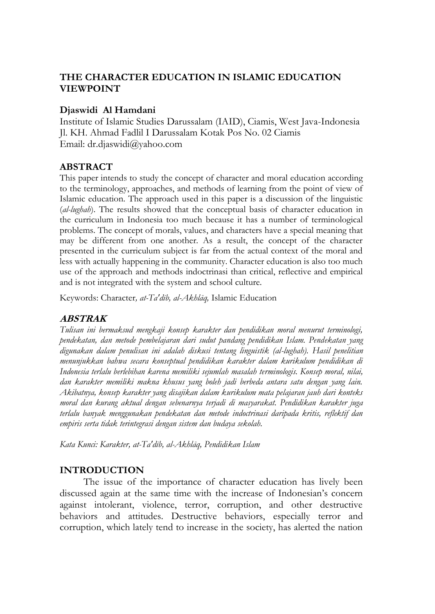# **THE CHARACTER EDUCATION IN ISLAMIC EDUCATION VIEWPOINT**

### **Djaswidi Al Hamdani**

Institute of Islamic Studies Darussalam (IAID), Ciamis, West Java-Indonesia Jl. KH. Ahmad Fadlil I Darussalam Kotak Pos No. 02 Ciamis Email: [dr.djaswidi@yahoo.com](mailto:dr.djaswidi@yahoo.com)

## **ABSTRACT**

This paper intends to study the concept of character and moral education according to the terminology, approaches, and methods of learning from the point of view of Islamic education. The approach used in this paper is a discussion of the linguistic (*al-lughah*). The results showed that the conceptual basis of character education in the curriculum in Indonesia too much because it has a number of terminological problems. The concept of morals, values, and characters have a special meaning that may be different from one another. As a result, the concept of the character presented in the curriculum subject is far from the actual context of the moral and less with actually happening in the community. Character education is also too much use of the approach and methods indoctrinasi than critical, reflective and empirical and is not integrated with the system and school culture.

Keywords: Character*, at-Ta'dīb, al-Akhlāq,* Islamic Education

## **ABSTRAK**

*Tulisan ini bermaksud mengkaji konsep karakter dan pendidikan moral menurut terminologi, pendekatan, dan metode pembelajaran dari sudut pandang pendidikan Islam. Pendekatan yang digunakan dalam penulisan ini adalah diskusi tentang linguistik (al-lughah). Hasil penelitian menunjukkan bahwa secara konseptual pendidikan karakter dalam kurikulum pendidikan di Indonesia terlalu berlebihan karena memiliki sejumlah masalah terminologis. Konsep moral, nilai, dan karakter memiliki makna khusus yang boleh jadi berbeda antara satu dengan yang lain. Akibatnya, konsep karakter yang disajikan dalam kurikulum mata pelajaran jauh dari konteks moral dan kurang aktual dengan sebenarnya terjadi di masyarakat. Pendidikan karakter juga terlalu banyak menggunakan pendekatan dan metode indoctrinasi daripada kritis, reflektif dan empiris serta tidak terintegrasi dengan sistem dan budaya sekolah.*

*Kata Kunci: Karakter, at-Ta'dīb, al-Akhlāq, Pendidikan Islam*

#### **INTRODUCTION**

The issue of the importance of character education has lively been discussed again at the same time with the increase of Indonesian's concern against intolerant, violence, terror, corruption, and other destructive behaviors and attitudes. Destructive behaviors, especially terror and corruption, which lately tend to increase in the society, has alerted the nation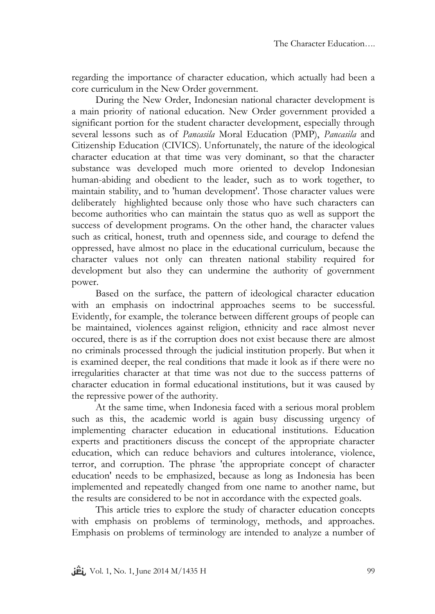regarding the importance of character education*,* which actually had been a core curriculum in the New Order government.

During the New Order, Indonesian national character development is a main priority of national education. New Order government provided a significant portion for the student character development, especially through several lessons such as of *Pancasila* Moral Education (PMP), *Pancasila* and Citizenship Education (CIVICS). Unfortunately, the nature of the ideological character education at that time was very dominant, so that the character substance was developed much more oriented to develop Indonesian human-abiding and obedient to the leader, such as to work together, to maintain stability, and to 'human development'. Those character values were deliberately highlighted because only those who have such characters can become authorities who can maintain the status quo as well as support the success of development programs. On the other hand, the character values such as critical, honest, truth and openness side, and courage to defend the oppressed, have almost no place in the educational curriculum, because the character values not only can threaten national stability required for development but also they can undermine the authority of government power.

Based on the surface, the pattern of ideological character education with an emphasis on indoctrinal approaches seems to be successful. Evidently, for example, the tolerance between different groups of people can be maintained, violences against religion, ethnicity and race almost never occured, there is as if the corruption does not exist because there are almost no criminals processed through the judicial institution properly. But when it is examined deeper, the real conditions that made it look as if there were no irregularities character at that time was not due to the success patterns of character education in formal educational institutions, but it was caused by the repressive power of the authority.

At the same time, when Indonesia faced with a serious moral problem such as this, the academic world is again busy discussing urgency of implementing character education in educational institutions. Education experts and practitioners discuss the concept of the appropriate character education, which can reduce behaviors and cultures intolerance, violence, terror, and corruption. The phrase 'the appropriate concept of character education' needs to be emphasized, because as long as Indonesia has been implemented and repeatedly changed from one name to another name, but the results are considered to be not in accordance with the expected goals.

This article tries to explore the study of character education concepts with emphasis on problems of terminology, methods, and approaches. Emphasis on problems of terminology are intended to analyze a number of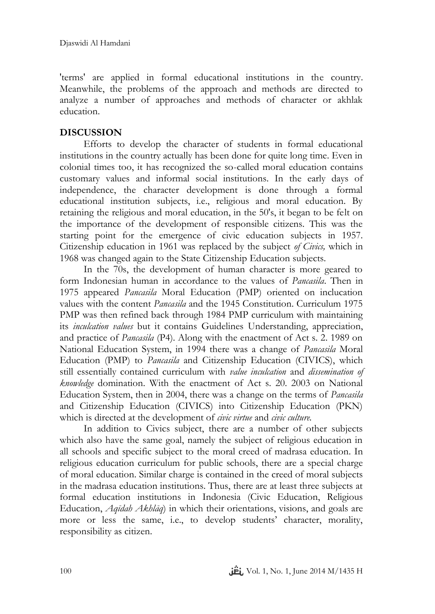'terms' are applied in formal educational institutions in the country. Meanwhile, the problems of the approach and methods are directed to analyze a number of approaches and methods of character or akhlak education.

# **DISCUSSION**

Efforts to develop the character of students in formal educational institutions in the country actually has been done for quite long time. Even in colonial times too, it has recognized the so-called moral education contains customary values and informal social institutions. In the early days of independence, the character development is done through a formal educational institution subjects, i.e., religious and moral education. By retaining the religious and moral education, in the 50's, it began to be felt on the importance of the development of responsible citizens. This was the starting point for the emergence of civic education subjects in 1957. Citizenship education in 1961 was replaced by the subject *of Civics,* which in 1968 was changed again to the State Citizenship Education subjects.

In the 70s, the development of human character is more geared to form Indonesian human in accordance to the values of *Pancasila*. Then in 1975 appeared *Pancasila* Moral Education (PMP) oriented on inclucation values with the content *Pancasila* and the 1945 Constitution. Curriculum 1975 PMP was then refined back through 1984 PMP curriculum with maintaining its *inculcation values* but it contains Guidelines Understanding, appreciation, and practice of *Pancasila* (P4). Along with the enactment of Act s. 2. 1989 on National Education System, in 1994 there was a change of *Pancasila* Moral Education (PMP) to *Pancasila* and Citizenship Education (CIVICS), which still essentially contained curriculum with *value inculcation* and *dissemination of knowledge* domination. With the enactment of Act s. 20. 2003 on National Education System, then in 2004, there was a change on the terms of *Pancasila* and Citizenship Education (CIVICS) into Citizenship Education (PKN) which is directed at the development of *civic virtue* and *civic culture.*

In addition to Civics subject, there are a number of other subjects which also have the same goal, namely the subject of religious education in all schools and specific subject to the moral creed of madrasa education. In religious education curriculum for public schools, there are a special charge of moral education. Similar charge is contained in the creed of moral subjects in the madrasa education institutions. Thus, there are at least three subjects at formal education institutions in Indonesia (Civic Education, Religious Education, *Aqīdah Akhlāq*) in which their orientations, visions, and goals are more or less the same, i.e., to develop students' character, morality, responsibility as citizen.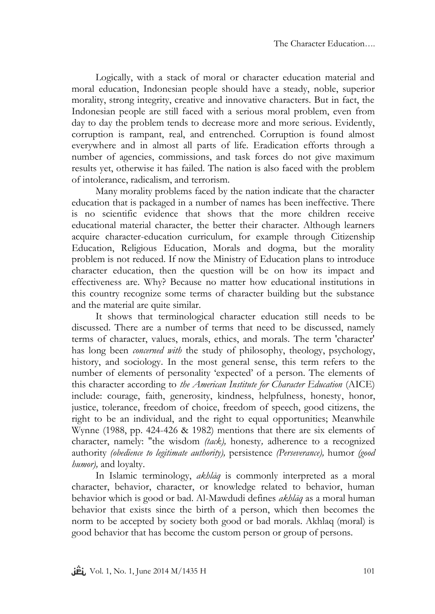Logically, with a stack of moral or character education material and moral education, Indonesian people should have a steady, noble, superior morality, strong integrity, creative and innovative characters. But in fact, the Indonesian people are still faced with a serious moral problem, even from day to day the problem tends to decrease more and more serious. Evidently, corruption is rampant, real, and entrenched. Corruption is found almost everywhere and in almost all parts of life. Eradication efforts through a number of agencies, commissions, and task forces do not give maximum results yet, otherwise it has failed. The nation is also faced with the problem of intolerance, radicalism, and terrorism.

Many morality problems faced by the nation indicate that the character education that is packaged in a number of names has been ineffective. There is no scientific evidence that shows that the more children receive educational material character, the better their character. Although learners acquire character-education curriculum, for example through Citizenship Education, Religious Education, Morals and dogma, but the morality problem is not reduced. If now the Ministry of Education plans to introduce character education, then the question will be on how its impact and effectiveness are. Why? Because no matter how educational institutions in this country recognize some terms of character building but the substance and the material are quite similar.

It shows that terminological character education still needs to be discussed. There are a number of terms that need to be discussed, namely terms of character, values, morals, ethics, and morals. The term 'character' has long been *concerned with* the study of philosophy, theology, psychology, history, and sociology. In the most general sense, this term refers to the number of elements of personality 'expected' of a person. The elements of this character according to *the American Institute for Character Education* (AICE) include: courage, faith, generosity, kindness, helpfulness, honesty, honor, justice, tolerance, freedom of choice, freedom of speech, good citizens, the right to be an individual, and the right to equal opportunities; Meanwhile Wynne (1988, pp. 424-426 & 1982) mentions that there are six elements of character, namely: "the wisdom *(tack),* honesty*,* adherence to a recognized authority *(obedience to legitimate authority),* persistence *(Perseverance),* humor *(good humor),* and loyalty.

In Islamic terminology, *akhlāq* is commonly interpreted as a moral character, behavior, character, or knowledge related to behavior, human behavior which is good or bad. Al-Mawdudi defines *akhlāq* as a moral human behavior that exists since the birth of a person, which then becomes the norm to be accepted by society both good or bad morals. Akhlaq (moral) is good behavior that has become the custom person or group of persons.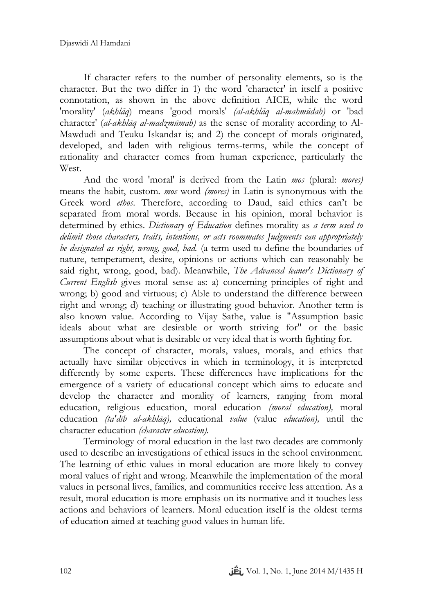If character refers to the number of personality elements, so is the character. But the two differ in 1) the word 'character' in itself a positive connotation, as shown in the above definition AICE, while the word 'morality' (*akhlāq*) means 'good morals' *(al-akhlāq al-mahmūdah)* or 'bad character' (*al-akhlāq al-madzmūmah)* as the sense of morality according to Al-Mawdudi and Teuku Iskandar is; and 2) the concept of morals originated, developed, and laden with religious terms-terms, while the concept of rationality and character comes from human experience, particularly the **West**.

And the word 'moral' is derived from the Latin *mos* (plural: *mores)* means the habit, custom. *mos* word *(mores)* in Latin is synonymous with the Greek word *ethos*. Therefore, according to Daud, said ethics can't be separated from moral words. Because in his opinion, moral behavior is determined by ethics. *Dictionary of Education* defines morality as *a term used to delimit those characters, traits, intentions, or acts roommates Judgments can appropriately be designated as right, wrong, good, bad.* (a term used to define the boundaries of nature, temperament, desire, opinions or actions which can reasonably be said right, wrong, good, bad). Meanwhile, *The Advanced leaner's Dictionary of Current English* gives moral sense as: a) concerning principles of right and wrong; b) good and virtuous; c) Able to understand the difference between right and wrong; d) teaching or illustrating good behavior. Another term is also known value. According to Vijay Sathe, value is "Assumption basic ideals about what are desirable or worth striving for" or the basic assumptions about what is desirable or very ideal that is worth fighting for.

The concept of character, morals, values, morals, and ethics that actually have similar objectives in which in terminology, it is interpreted differently by some experts. These differences have implications for the emergence of a variety of educational concept which aims to educate and develop the character and morality of learners, ranging from moral education, religious education, moral education *(moral education),* moral education *(ta'dīb al-akhlāq),* educational *value* (value *education),* until the character education *(character education).*

Terminology of moral education in the last two decades are commonly used to describe an investigations of ethical issues in the school environment. The learning of ethic values in moral education are more likely to convey moral values of right and wrong. Meanwhile the implementation of the moral values in personal lives, families, and communities receive less attention. As a result, moral education is more emphasis on its normative and it touches less actions and behaviors of learners. Moral education itself is the oldest terms of education aimed at teaching good values in human life.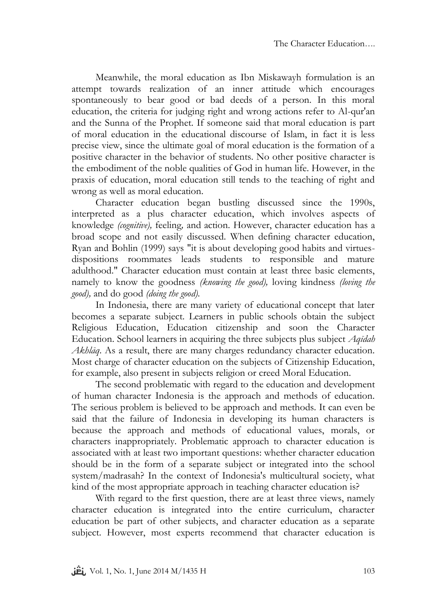Meanwhile, the moral education as Ibn Miskawayh formulation is an attempt towards realization of an inner attitude which encourages spontaneously to bear good or bad deeds of a person. In this moral education, the criteria for judging right and wrong actions refer to Al-qur'an and the Sunna of the Prophet. If someone said that moral education is part of moral education in the educational discourse of Islam, in fact it is less precise view, since the ultimate goal of moral education is the formation of a positive character in the behavior of students. No other positive character is the embodiment of the noble qualities of God in human life. However, in the praxis of education, moral education still tends to the teaching of right and wrong as well as moral education.

Character education began bustling discussed since the 1990s, interpreted as a plus character education, which involves aspects of knowledge *(cognitive),* feeling*,* and action*.* However, character education has a broad scope and not easily discussed. When defining character education, Ryan and Bohlin (1999) says "it is about developing good habits and virtuesdispositions roommates leads students to responsible and mature adulthood." Character education must contain at least three basic elements, namely to know the goodness *(knowing the good),* loving kindness *(loving the good),* and do good *(doing the good).*

In Indonesia, there are many variety of educational concept that later becomes a separate subject. Learners in public schools obtain the subject Religious Education, Education citizenship and soon the Character Education. School learners in acquiring the three subjects plus subject *Aqīdah Akhlāq*. As a result, there are many charges redundancy character education. Most charge of character education on the subjects of Citizenship Education, for example, also present in subjects religion or creed Moral Education.

The second problematic with regard to the education and development of human character Indonesia is the approach and methods of education. The serious problem is believed to be approach and methods. It can even be said that the failure of Indonesia in developing its human characters is because the approach and methods of educational values, morals, or characters inappropriately. Problematic approach to character education is associated with at least two important questions: whether character education should be in the form of a separate subject or integrated into the school system/madrasah? In the context of Indonesia's multicultural society, what kind of the most appropriate approach in teaching character education is?

With regard to the first question, there are at least three views, namely character education is integrated into the entire curriculum, character education be part of other subjects, and character education as a separate subject. However, most experts recommend that character education is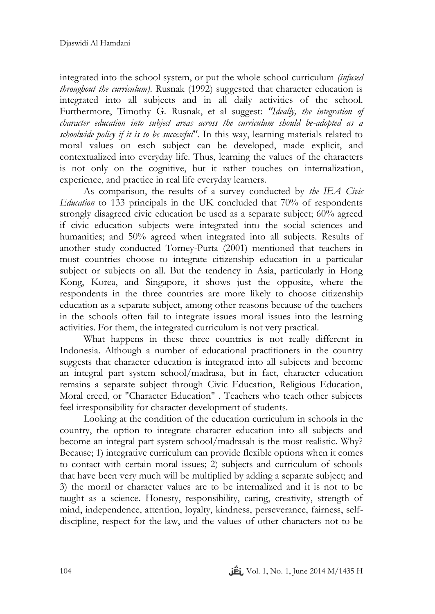integrated into the school system, or put the whole school curriculum *(infused throughout the curriculum)*. Rusnak (1992) suggested that character education is integrated into all subjects and in all daily activities of the school. Furthermore, Timothy G. Rusnak, et al suggest: *"Ideally, the integration of character education into subject areas across the curriculum should be-adopted as a schoolwide policy if it is to be successful"*. In this way, learning materials related to moral values on each subject can be developed, made explicit, and contextualized into everyday life. Thus, learning the values of the characters is not only on the cognitive, but it rather touches on internalization, experience, and practice in real life everyday learners.

As comparison, the results of a survey conducted by *the IEA Civic Education* to 133 principals in the UK concluded that 70% of respondents strongly disagreed civic education be used as a separate subject; 60% agreed if civic education subjects were integrated into the social sciences and humanities; and 50% agreed when integrated into all subjects. Results of another study conducted Torney-Purta (2001) mentioned that teachers in most countries choose to integrate citizenship education in a particular subject or subjects on all. But the tendency in Asia, particularly in Hong Kong, Korea, and Singapore, it shows just the opposite, where the respondents in the three countries are more likely to choose citizenship education as a separate subject, among other reasons because of the teachers in the schools often fail to integrate issues moral issues into the learning activities. For them, the integrated curriculum is not very practical.

What happens in these three countries is not really different in Indonesia. Although a number of educational practitioners in the country suggests that character education is integrated into all subjects and become an integral part system school/madrasa, but in fact, character education remains a separate subject through Civic Education, Religious Education, Moral creed, or "Character Education" . Teachers who teach other subjects feel irresponsibility for character development of students.

Looking at the condition of the education curriculum in schools in the country, the option to integrate character education into all subjects and become an integral part system school/madrasah is the most realistic. Why? Because; 1) integrative curriculum can provide flexible options when it comes to contact with certain moral issues; 2) subjects and curriculum of schools that have been very much will be multiplied by adding a separate subject; and 3) the moral or character values are to be internalized and it is not to be taught as a science. Honesty, responsibility, caring, creativity, strength of mind, independence, attention, loyalty, kindness, perseverance, fairness, selfdiscipline, respect for the law, and the values of other characters not to be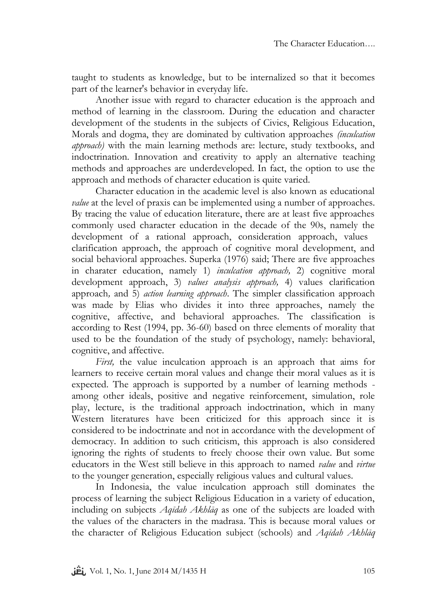taught to students as knowledge, but to be internalized so that it becomes part of the learner's behavior in everyday life.

Another issue with regard to character education is the approach and method of learning in the classroom. During the education and character development of the students in the subjects of Civics, Religious Education, Morals and dogma, they are dominated by cultivation approaches *(inculcation approach)* with the main learning methods are: lecture, study textbooks, and indoctrination. Innovation and creativity to apply an alternative teaching methods and approaches are underdeveloped. In fact, the option to use the approach and methods of character education is quite varied.

Character education in the academic level is also known as educational *value* at the level of praxis can be implemented using a number of approaches. By tracing the value of education literature, there are at least five approaches commonly used character education in the decade of the 90s, namely the development of a rational approach, consideration approach, values clarification approach, the approach of cognitive moral development, and social behavioral approaches. Superka (1976) said; There are five approaches in charater education, namely 1) *inculcation approach,* 2) cognitive moral development approach, 3) *values analysis approach,* 4) values clarification approach*,* and 5) *action learning approach*. The simpler classification approach was made by Elias who divides it into three approaches, namely the cognitive, affective, and behavioral approaches. The classification is according to Rest (1994, pp. 36-60) based on three elements of morality that used to be the foundation of the study of psychology, namely: behavioral, cognitive, and affective.

*First,* the value inculcation approach is an approach that aims for learners to receive certain moral values and change their moral values as it is expected. The approach is supported by a number of learning methods among other ideals, positive and negative reinforcement, simulation, role play, lecture, is the traditional approach indoctrination, which in many Western literatures have been criticized for this approach since it is considered to be indoctrinate and not in accordance with the development of democracy. In addition to such criticism, this approach is also considered ignoring the rights of students to freely choose their own value. But some educators in the West still believe in this approach to named *value* and *virtue* to the younger generation, especially religious values and cultural values.

In Indonesia, the value inculcation approach still dominates the process of learning the subject Religious Education in a variety of education, including on subjects *Aqīdah Akhlāq* as one of the subjects are loaded with the values of the characters in the madrasa. This is because moral values or the character of Religious Education subject (schools) and *Aqīdah Akhlāq*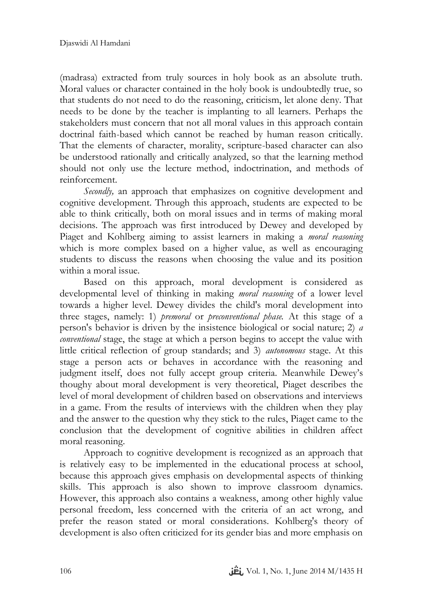(madrasa) extracted from truly sources in holy book as an absolute truth. Moral values or character contained in the holy book is undoubtedly true, so that students do not need to do the reasoning, criticism, let alone deny. That needs to be done by the teacher is implanting to all learners. Perhaps the stakeholders must concern that not all moral values in this approach contain doctrinal faith-based which cannot be reached by human reason critically. That the elements of character, morality, scripture-based character can also be understood rationally and critically analyzed, so that the learning method should not only use the lecture method, indoctrination, and methods of reinforcement.

*Secondly*, an approach that emphasizes on cognitive development and cognitive development. Through this approach, students are expected to be able to think critically, both on moral issues and in terms of making moral decisions. The approach was first introduced by Dewey and developed by Piaget and Kohlberg aiming to assist learners in making a *moral reasoning* which is more complex based on a higher value, as well as encouraging students to discuss the reasons when choosing the value and its position within a moral issue.

Based on this approach, moral development is considered as developmental level of thinking in making *moral reasoning* of a lower level towards a higher level. Dewey divides the child's moral development into three stages, namely: 1) *premoral* or *preconventional phase.* At this stage of a person's behavior is driven by the insistence biological or social nature; 2) *a conventional* stage, the stage at which a person begins to accept the value with little critical reflection of group standards; and 3) *autonomous* stage. At this stage a person acts or behaves in accordance with the reasoning and judgment itself, does not fully accept group criteria. Meanwhile Dewey's thoughy about moral development is very theoretical, Piaget describes the level of moral development of children based on observations and interviews in a game. From the results of interviews with the children when they play and the answer to the question why they stick to the rules, Piaget came to the conclusion that the development of cognitive abilities in children affect moral reasoning.

Approach to cognitive development is recognized as an approach that is relatively easy to be implemented in the educational process at school, because this approach gives emphasis on developmental aspects of thinking skills. This approach is also shown to improve classroom dynamics. However, this approach also contains a weakness, among other highly value personal freedom, less concerned with the criteria of an act wrong, and prefer the reason stated or moral considerations. Kohlberg's theory of development is also often criticized for its gender bias and more emphasis on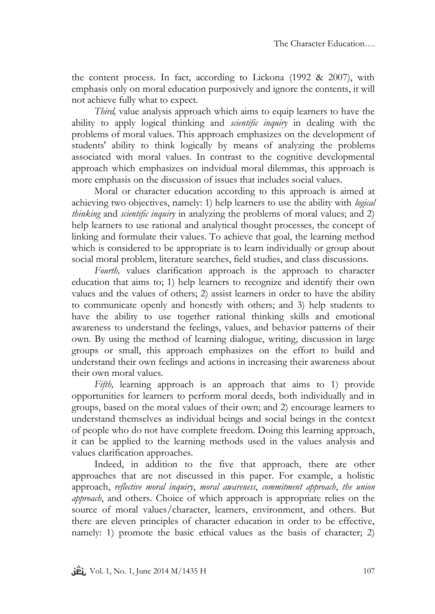the content process. In fact, according to Lickona (1992 & 2007), with emphasis only on moral education purposively and ignore the contents, it will not achieve fully what to expect.

*Third,* value analysis approach which aims to equip learners to have the ability to apply logical thinking and *scientific inquiry* in dealing with the problems of moral values. This approach emphasizes on the development of students' ability to think logically by means of analyzing the problems associated with moral values. In contrast to the cognitive developmental approach which emphasizes on indvidual moral dilemmas, this approach is more emphasis on the discussion of issues that includes social values.

Moral or character education according to this approach is aimed at achieving two objectives, namely: 1) help learners to use the ability with *logical thinking* and *scientific inquiry* in analyzing the problems of moral values; and 2) help learners to use rational and analytical thought processes, the concept of linking and formulate their values. To achieve that goal, the learning method which is considered to be appropriate is to learn individually or group about social moral problem, literature searches, field studies, and class discussions.

*Fourth,* values clarification approach is the approach to character education that aims to; 1) help learners to recognize and identify their own values and the values of others; 2) assist learners in order to have the ability to communicate openly and honestly with others; and 3) help students to have the ability to use together rational thinking skills and emotional awareness to understand the feelings, values, and behavior patterns of their own. By using the method of learning dialogue, writing, discussion in large groups or small, this approach emphasizes on the effort to build and understand their own feelings and actions in increasing their awareness about their own moral values.

*Fifth,* learning approach is an approach that aims to 1) provide opportunities for learners to perform moral deeds, both individually and in groups, based on the moral values of their own; and 2) encourage learners to understand themselves as individual beings and social beings in the context of people who do not have complete freedom. Doing this learning approach, it can be applied to the learning methods used in the values analysis and values clarification approaches.

Indeed, in addition to the five that approach, there are other approaches that are not discussed in this paper. For example, a holistic approach, *reflective moral inquiry*, *moral awareness*, *commitment approach*, *the union approach*, and others. Choice of which approach is appropriate relies on the source of moral values/character, learners, environment, and others. But there are eleven principles of character education in order to be effective, namely: 1) promote the basic ethical values as the basis of character; 2)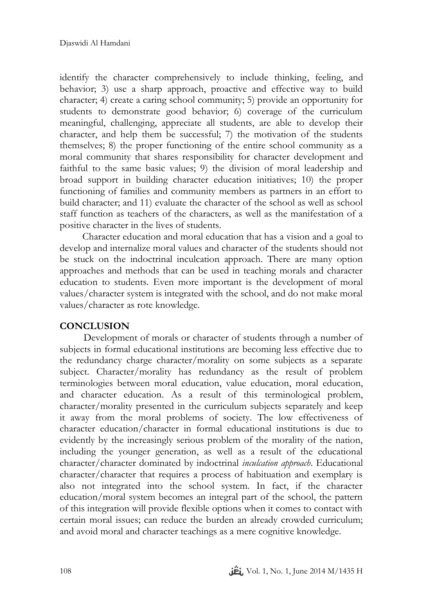identify the character comprehensively to include thinking, feeling, and behavior; 3) use a sharp approach, proactive and effective way to build character; 4) create a caring school community; 5) provide an opportunity for students to demonstrate good behavior; 6) coverage of the curriculum meaningful, challenging, appreciate all students, are able to develop their character, and help them be successful; 7) the motivation of the students themselves; 8) the proper functioning of the entire school community as a moral community that shares responsibility for character development and faithful to the same basic values; 9) the division of moral leadership and broad support in building character education initiatives; 10) the proper functioning of families and community members as partners in an effort to build character; and 11) evaluate the character of the school as well as school staff function as teachers of the characters, as well as the manifestation of a positive character in the lives of students.

Character education and moral education that has a vision and a goal to develop and internalize moral values and character of the students should not be stuck on the indoctrinal inculcation approach. There are many option approaches and methods that can be used in teaching morals and character education to students. Even more important is the development of moral values/character system is integrated with the school, and do not make moral values/character as rote knowledge.

## **CONCLUSION**

Development of morals or character of students through a number of subjects in formal educational institutions are becoming less effective due to the redundancy charge character/morality on some subjects as a separate subject. Character/morality has redundancy as the result of problem terminologies between moral education, value education, moral education, and character education. As a result of this terminological problem, character/morality presented in the curriculum subjects separately and keep it away from the moral problems of society. The low effectiveness of character education/character in formal educational institutions is due to evidently by the increasingly serious problem of the morality of the nation, including the younger generation, as well as a result of the educational character/character dominated by indoctrinal *inculcation approach*. Educational character/character that requires a process of habituation and exemplary is also not integrated into the school system. In fact, if the character education/moral system becomes an integral part of the school, the pattern of this integration will provide flexible options when it comes to contact with certain moral issues; can reduce the burden an already crowded curriculum; and avoid moral and character teachings as a mere cognitive knowledge.